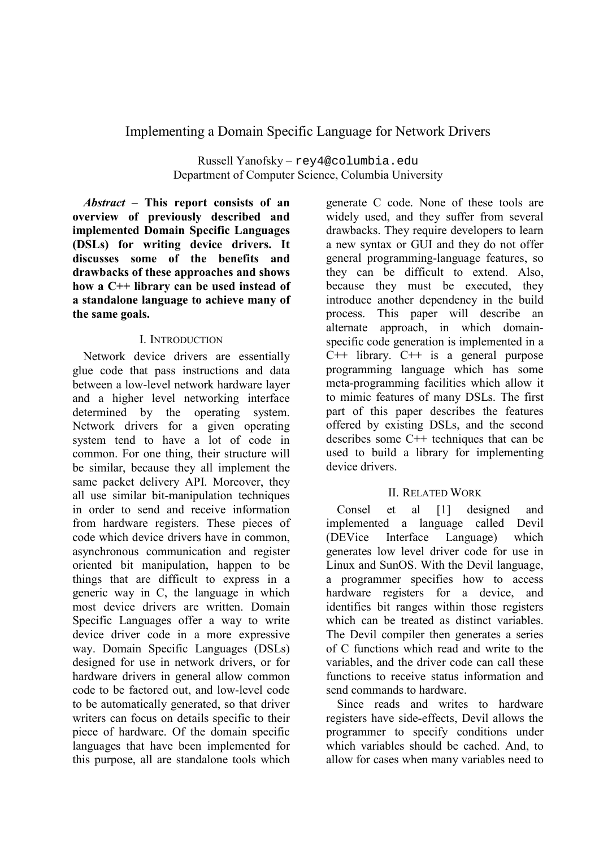## Implementing a Domain Specific Language for Network Drivers

Russell Yanofsky - rey4@columbia.edu Department of Computer Science, Columbia University

*Abstract* – This report consists of an overview of previously described and implemented Domain Specific Languages (DSLs) for writing device drivers. It discusses some of the benefits and drawbacks of these approaches and shows how a C++ library can be used instead of a standalone language to achieve many of the same goals.

## **I INTRODUCTION**

Network device drivers are essentially glue code that pass instructions and data between a low-level network hardware laver and a higher level networking interface determined by the operating system. Network drivers for a given operating system tend to have a lot of code in common. For one thing, their structure will be similar, because they all implement the same packet delivery API. Moreover, they all use similar bit-manipulation techniques in order to send and receive information from hardware registers. These pieces of code which device drivers have in common. asynchronous communication and register oriented bit manipulation, happen to be things that are difficult to express in a generic way in C, the language in which most device drivers are written. Domain Specific Languages offer a way to write device driver code in a more expressive way. Domain Specific Languages (DSLs) designed for use in network drivers, or for hardware drivers in general allow common code to be factored out, and low-level code to be automatically generated, so that driver writers can focus on details specific to their piece of hardware. Of the domain specific languages that have been implemented for this purpose, all are standalone tools which generate C code. None of these tools are widely used, and they suffer from several drawbacks. They require developers to learn a new syntax or GUI and they do not offer general programming-language features, so they can be difficult to extend. Also, because they must be executed, they introduce another dependency in the build process. This paper will describe an alternate approach, in which domainspecific code generation is implemented in a  $C++$  library.  $C++$  is a general purpose programming language which has some meta-programming facilities which allow it to mimic features of many DSLs. The first part of this paper describes the features offered by existing DSLs, and the second describes some  $C++$  techniques that can be used to build a library for implementing device drivers.

## **II RELATED WORK**

 $\lceil 1 \rceil$ Consel  $et$ al designed and implemented a language called Devil (DEVice) Interface Language) which generates low level driver code for use in Linux and SunOS. With the Devil language, a programmer specifies how to access hardware registers for a device, and identifies bit ranges within those registers which can be treated as distinct variables. The Devil compiler then generates a series of C functions which read and write to the variables and the driver code can call these functions to receive status information and send commands to hardware

Since reads and writes to hardware registers have side-effects, Devil allows the programmer to specify conditions under which variables should be cached. And, to allow for cases when many variables need to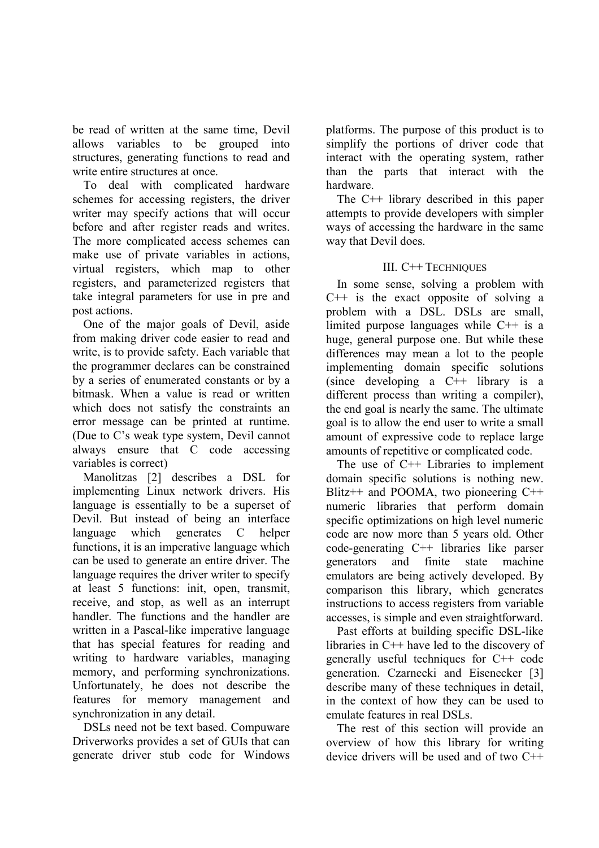be read of written at the same time, Devil allows variables to be grouped into structures, generating functions to read and write entire structures at once.

To deal with complicated hardware schemes for accessing registers, the driver writer may specify actions that will occur before and after register reads and writes. The more complicated access schemes can make use of private variables in actions, virtual registers, which map to other registers, and parameterized registers that take integral parameters for use in pre and post actions.

One of the major goals of Devil, aside from making driver code easier to read and write, is to provide safety. Each variable that the programmer declares can be constrained by a series of enumerated constants or by a bitmask. When a value is read or written which does not satisfy the constraints an error message can be printed at runtime. (Due to C's weak type system, Devil cannot always ensure that C code accessing variables is correct)

Manolitzas [2] describes a DSL for implementing Linux network drivers. His language is essentially to be a superset of Devil. But instead of being an interface generates language which  $\mathcal{C}$ helper functions, it is an imperative language which can be used to generate an entire driver. The language requires the driver writer to specify at least 5 functions: init, open, transmit, receive, and stop, as well as an interrupt handler. The functions and the handler are written in a Pascal-like imperative language that has special features for reading and writing to hardware variables, managing memory, and performing synchronizations. Unfortunately, he does not describe the features for memory management and synchronization in any detail.

DSLs need not be text based. Compuware Driverworks provides a set of GUIs that can generate driver stub code for Windows platforms. The purpose of this product is to simplify the portions of driver code that interact with the operating system, rather than the parts that interact with the hardware.

The  $C++$  library described in this paper attempts to provide developers with simpler ways of accessing the hardware in the same way that Devil does.

## **III. C++ TECHNIQUES**

In some sense, solving a problem with  $C++$  is the exact opposite of solving a problem with a DSL. DSLs are small, limited purpose languages while  $C++$  is a huge, general purpose one. But while these differences may mean a lot to the people implementing domain specific solutions (since developing a  $C++$  library is a different process than writing a compiler). the end goal is nearly the same. The ultimate goal is to allow the end user to write a small amount of expressive code to replace large amounts of repetitive or complicated code.

The use of  $C++$  Libraries to implement domain specific solutions is nothing new. Blitz++ and POOMA, two pioneering  $C++$ numeric libraries that perform domain specific optimizations on high level numeric code are now more than 5 years old. Other code-generating  $C++$  libraries like parser generators and finite state machine emulators are being actively developed. By comparison this library, which generates instructions to access registers from variable accesses, is simple and even straightforward.

Past efforts at building specific DSL-like libraries in  $C++$  have led to the discovery of generally useful techniques for C++ code generation. Czarnecki and Eisenecker [3] describe many of these techniques in detail. in the context of how they can be used to emulate features in real DSLs.

The rest of this section will provide an overview of how this library for writing device drivers will be used and of two  $C++$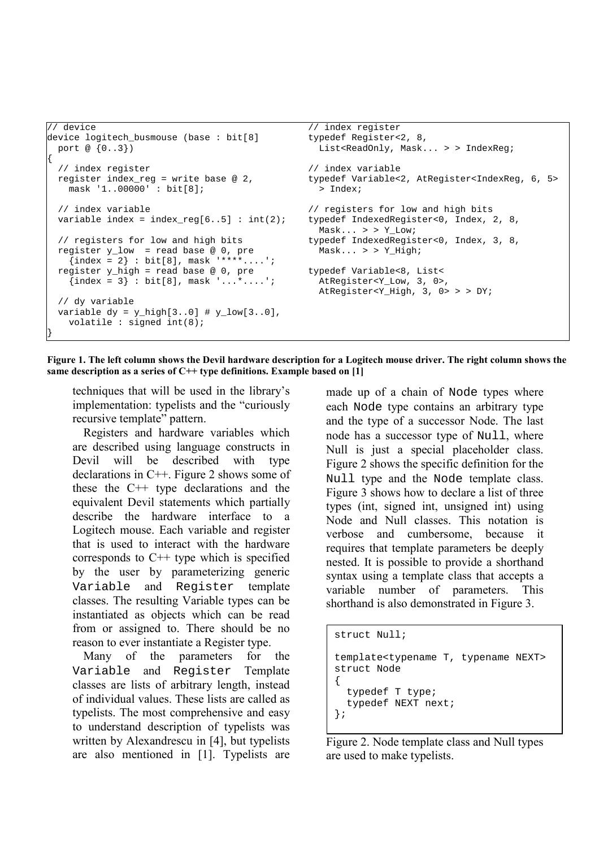```
\sqrt{} device
                                                 // index register
device logitech busmouse (base: bit[8]
                                                 typedef Register<2, 8,
                                                   List<ReadOnly, Mask... > > IndexReg;
 port @ {0..3})
  // index register
                                                 // index variable
 register index_reg = write base @ 2,
                                                 typedef Variable<2, AtRegister<IndexReg, 6, 5>
   mask '1..00000' : bit[8];
                                                   > Index;
  // index variable
                                                 // registers for low and high bits
 variable index = index_reg[6..5] : int(2);
                                                 typedef IndexedRegister<0, Index, 2, 8,
                                                   Mask... > > Y_{Low}// registers for low and high bits
                                                 typedef IndexedRegister<0, Index, 3, 8,
 register y_low = read base @ 0, preMask... > > Y_High;\{\text{index} = 2\} : bit[8], mask '****....';
  register y high = read base @0, pre
                                                 typedef Variable<8, List<
    {index = 3} : bit[8], mask '...*....';
                                                   AtRegister<Y_Low, 3, 0>,
                                                   AtRegister<Y_High, 3, 0> > > DY;
  // dy variable
  variable dy = y_{high}[3..0] # y_{low}[3..0],volatile : signed int(8);
```

```
Figure 1. The left column shows the Devil hardware description for a Logitech mouse driver. The right column shows the
same description as a series of C++ type definitions. Example based on [1]
```
techniques that will be used in the library's implementation: typelists and the "curiously recursive template" pattern.

Registers and hardware variables which are described using language constructs in Devil will be described with type declarations in  $C++$ . Figure 2 shows some of these the  $C++$  type declarations and the equivalent Devil statements which partially describe the hardware interface to a Logitech mouse. Each variable and register that is used to interact with the hardware corresponds to  $C++$  type which is specified by the user by parameterizing generic Variable and Register template classes. The resulting Variable types can be instantiated as objects which can be read from or assigned to. There should be no reason to ever instantiate a Register type.

parameters for the Many of the Variable and Register Template classes are lists of arbitrary length, instead of individual values. These lists are called as typelists. The most comprehensive and easy to understand description of typelists was written by Alexandrescu in [4], but typelists are also mentioned in [1]. Typelists are made up of a chain of Node types where each Node type contains an arbitrary type and the type of a successor Node. The last node has a successor type of Null, where Null is just a special placeholder class. Figure 2 shows the specific definition for the Null type and the Node template class. Figure 3 shows how to declare a list of three types (int, signed int, unsigned int) using Node and Null classes. This notation is verbose and cumbersome, because it requires that template parameters be deeply nested. It is possible to provide a shorthand syntax using a template class that accepts a variable number of parameters. This shorthand is also demonstrated in Figure 3.

```
struct Null;
template<typename T, typename NEXT>
struct Node
₹
  typedef T type;
  typedef NEXT next;
\};
```
Figure 2. Node template class and Null types are used to make typelists.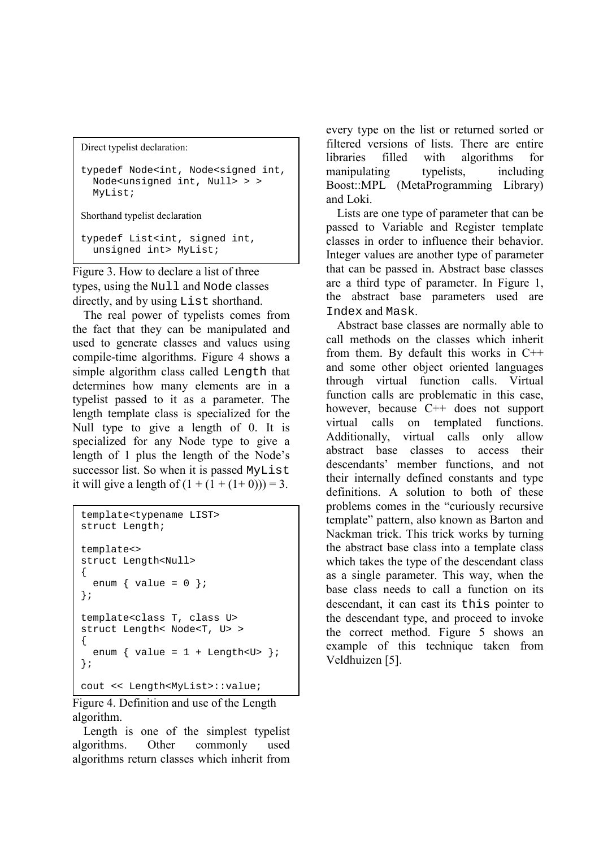```
Direct typelist declaration:
```

```
typedef Node<int, Node<signed int,
  Node<unsigned int, Null> > >
  MyList;
Shorthand typelist declaration
typedef List<int, signed int,
  unsigned int> MyList;
```
Figure 3. How to declare a list of three types, using the Null and Node classes directly, and by using List shorthand.

The real power of typelists comes from the fact that they can be manipulated and used to generate classes and values using compile-time algorithms. Figure 4 shows a simple algorithm class called Length that determines how many elements are in a typelist passed to it as a parameter. The length template class is specialized for the Null type to give a length of 0. It is specialized for any Node type to give a length of 1 plus the length of the Node's successor list. So when it is passed MyList it will give a length of  $(1 + (1 + (1 + 0))) = 3$ .

```
template<typename LIST>
struct Length;
template<>
struct Length<Null>
\{enum { value = 0 };
\} ;
template<class T, class U>
struct Length< Node<T, U> >
\{enum { value = 1 + Length<U> };
\};
cout << Length<MyList>::value;
```
Figure 4. Definition and use of the Length algorithm.

Length is one of the simplest typelist algorithms. Other commonly used algorithms return classes which inherit from

every type on the list or returned sorted or filtered versions of lists. There are entire filled libraries with algorithms for manipulating typelists. including Boost::MPL (MetaProgramming Library) and Loki.

Lists are one type of parameter that can be passed to Variable and Register template classes in order to influence their behavior. Integer values are another type of parameter that can be passed in. Abstract base classes are a third type of parameter. In Figure 1, the abstract base parameters used are Index and Mask.

Abstract base classes are normally able to call methods on the classes which inherit from them. By default this works in  $C++$ and some other object oriented languages through virtual function calls. Virtual function calls are problematic in this case. however, because  $C++$  does not support virtual calls on templated functions. Additionally, virtual calls only allow abstract base classes to access their descendants' member functions, and not their internally defined constants and type definitions. A solution to both of these problems comes in the "curiously recursive" template" pattern, also known as Barton and Nackman trick. This trick works by turning the abstract base class into a template class which takes the type of the descendant class as a single parameter. This way, when the base class needs to call a function on its descendant, it can cast its this pointer to the descendant type, and proceed to invoke the correct method. Figure 5 shows an example of this technique taken from Veldhuizen [5].